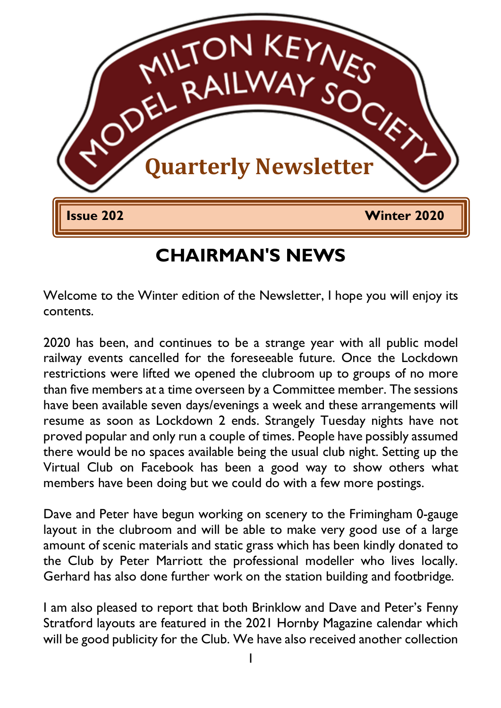

## **CHAIRMAN'S NEWS**

Welcome to the Winter edition of the Newsletter, I hope you will enjoy its contents.

2020 has been, and continues to be a strange year with all public model railway events cancelled for the foreseeable future. Once the Lockdown restrictions were lifted we opened the clubroom up to groups of no more than five members at a time overseen by a Committee member. The sessions have been available seven days/evenings a week and these arrangements will resume as soon as Lockdown 2 ends. Strangely Tuesday nights have not proved popular and only run a couple of times. People have possibly assumed there would be no spaces available being the usual club night. Setting up the Virtual Club on Facebook has been a good way to show others what members have been doing but we could do with a few more postings.

Dave and Peter have begun working on scenery to the Frimingham 0-gauge layout in the clubroom and will be able to make very good use of a large amount of scenic materials and static grass which has been kindly donated to the Club by Peter Marriott the professional modeller who lives locally. Gerhard has also done further work on the station building and footbridge.

I am also pleased to report that both Brinklow and Dave and Peter's Fenny Stratford layouts are featured in the 2021 Hornby Magazine calendar which will be good publicity for the Club. We have also received another collection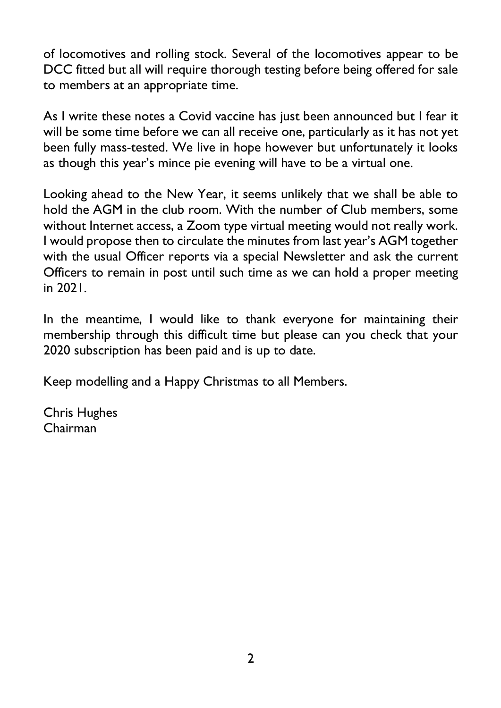of locomotives and rolling stock. Several of the locomotives appear to be DCC fitted but all will require thorough testing before being offered for sale to members at an appropriate time.

As I write these notes a Covid vaccine has just been announced but I fear it will be some time before we can all receive one, particularly as it has not yet been fully mass-tested. We live in hope however but unfortunately it looks as though this year's mince pie evening will have to be a virtual one.

Looking ahead to the New Year, it seems unlikely that we shall be able to hold the AGM in the club room. With the number of Club members, some without Internet access, a Zoom type virtual meeting would not really work. I would propose then to circulate the minutes from last year's AGM together with the usual Officer reports via a special Newsletter and ask the current Officers to remain in post until such time as we can hold a proper meeting in 2021.

In the meantime, I would like to thank everyone for maintaining their membership through this difficult time but please can you check that your 2020 subscription has been paid and is up to date.

Keep modelling and a Happy Christmas to all Members.

Chris Hughes Chairman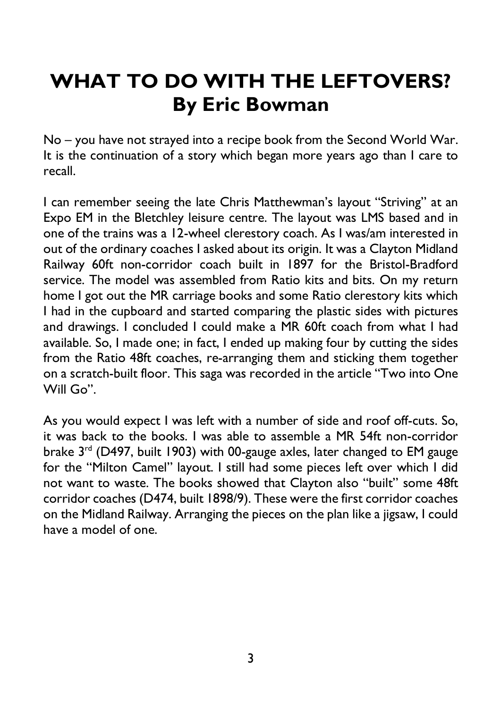# **WHAT TO DO WITH THE LEFTOVERS? By Eric Bowman**

No – you have not strayed into a recipe book from the Second World War. It is the continuation of a story which began more years ago than I care to recall.

I can remember seeing the late Chris Matthewman's layout "Striving" at an Expo EM in the Bletchley leisure centre. The layout was LMS based and in one of the trains was a 12-wheel clerestory coach. As I was/am interested in out of the ordinary coaches I asked about its origin. It was a Clayton Midland Railway 60ft non-corridor coach built in 1897 for the Bristol-Bradford service. The model was assembled from Ratio kits and bits. On my return home I got out the MR carriage books and some Ratio clerestory kits which I had in the cupboard and started comparing the plastic sides with pictures and drawings. I concluded I could make a MR 60ft coach from what I had available. So, I made one; in fact, I ended up making four by cutting the sides from the Ratio 48ft coaches, re-arranging them and sticking them together on a scratch-built floor. This saga was recorded in the article "Two into One Will Go".

As you would expect I was left with a number of side and roof off-cuts. So, it was back to the books. I was able to assemble a MR 54ft non-corridor brake 3rd (D497, built 1903) with 00-gauge axles, later changed to EM gauge for the "Milton Camel" layout. I still had some pieces left over which I did not want to waste. The books showed that Clayton also "built" some 48ft corridor coaches (D474, built 1898/9). These were the first corridor coaches on the Midland Railway. Arranging the pieces on the plan like a jigsaw, I could have a model of one.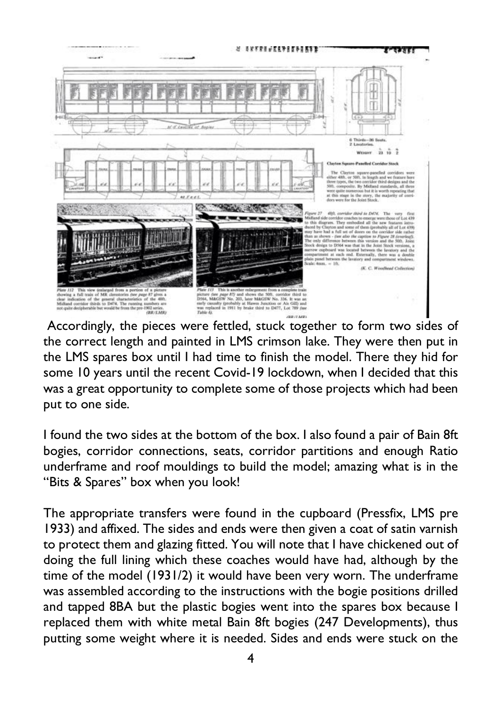

Accordingly, the pieces were fettled, stuck together to form two sides of the correct length and painted in LMS crimson lake. They were then put in the LMS spares box until I had time to finish the model. There they hid for some 10 years until the recent Covid-19 lockdown, when I decided that this was a great opportunity to complete some of those projects which had been put to one side.

I found the two sides at the bottom of the box. I also found a pair of Bain 8ft bogies, corridor connections, seats, corridor partitions and enough Ratio underframe and roof mouldings to build the model; amazing what is in the "Bits & Spares" box when you look!

The appropriate transfers were found in the cupboard (Pressfix, LMS pre 1933) and affixed. The sides and ends were then given a coat of satin varnish to protect them and glazing fitted. You will note that I have chickened out of doing the full lining which these coaches would have had, although by the time of the model (1931/2) it would have been very worn. The underframe was assembled according to the instructions with the bogie positions drilled and tapped 8BA but the plastic bogies went into the spares box because I replaced them with white metal Bain 8ft bogies (247 Developments), thus putting some weight where it is needed. Sides and ends were stuck on the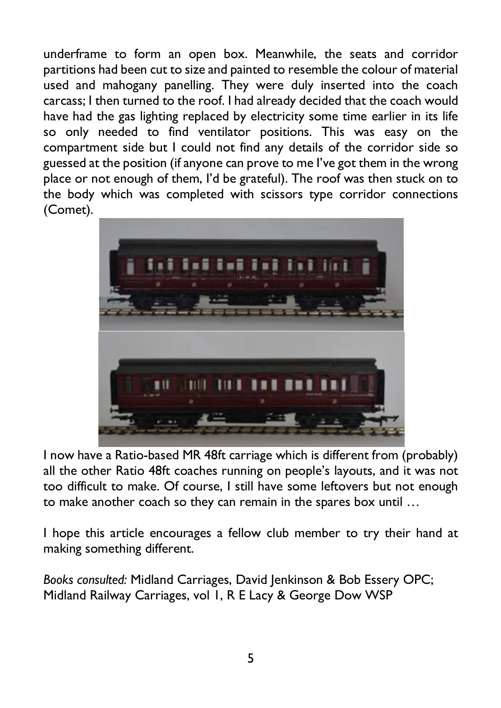underframe to form an open box. Meanwhile, the seats and corridor partitions had been cut to size and painted to resemble the colour of material used and mahogany panelling. They were duly inserted into the coach carcass; I then turned to the roof. I had already decided that the coach would have had the gas lighting replaced by electricity some time earlier in its life so only needed to find ventilator positions. This was easy on the compartment side but I could not find any details of the corridor side so guessed at the position (if anyone can prove to me I've got them in the wrong place or not enough of them, I'd be grateful). The roof was then stuck on to the body which was completed with scissors type corridor connections (Comet).



I now have a Ratio-based MR 48ft carriage which is different from (probably) all the other Ratio 48ft coaches running on people's layouts, and it was not too difficult to make. Of course, I still have some leftovers but not enough to make another coach so they can remain in the spares box until …

I hope this article encourages a fellow club member to try their hand at making something different.

*Books consulted:* Midland Carriages, David Jenkinson & Bob Essery OPC; Midland Railway Carriages, vol 1, R E Lacy & George Dow WSP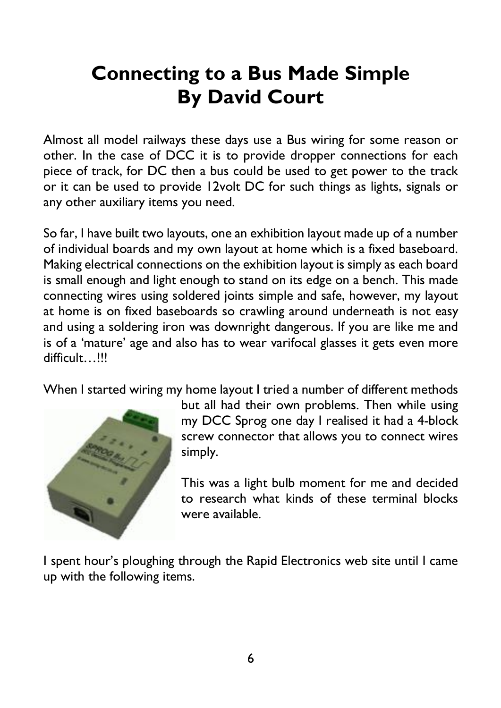# **Connecting to a Bus Made Simple By David Court**

Almost all model railways these days use a Bus wiring for some reason or other. In the case of DCC it is to provide dropper connections for each piece of track, for DC then a bus could be used to get power to the track or it can be used to provide 12volt DC for such things as lights, signals or any other auxiliary items you need.

So far, I have built two layouts, one an exhibition layout made up of a number of individual boards and my own layout at home which is a fixed baseboard. Making electrical connections on the exhibition layout is simply as each board is small enough and light enough to stand on its edge on a bench. This made connecting wires using soldered joints simple and safe, however, my layout at home is on fixed baseboards so crawling around underneath is not easy and using a soldering iron was downright dangerous. If you are like me and is of a 'mature' age and also has to wear varifocal glasses it gets even more difficult…!!!

When I started wiring my home layout I tried a number of different methods



but all had their own problems. Then while using my DCC Sprog one day I realised it had a 4-block screw connector that allows you to connect wires simply.

This was a light bulb moment for me and decided to research what kinds of these terminal blocks were available.

I spent hour's ploughing through the Rapid Electronics web site until I came up with the following items.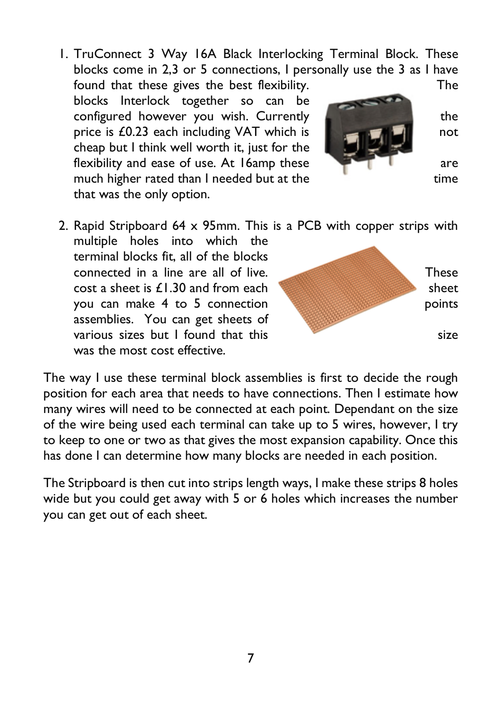1. TruConnect 3 Way 16A Black Interlocking Terminal Block. These blocks come in 2,3 or 5 connections, I personally use the 3 as I have

found that these gives the best flexibility. The blocks Interlock together so can be configured however you wish. Currently **the state of the state of the state of the state of the state of the state of the state of the state of the state of the state of the state of the state of the state of the state of** price is  $\pounds$ 0.23 each including VAT which is not cheap but I think well worth it, just for the flexibility and ease of use. At 16amp these are are much higher rated than I needed but at the time that was the only option.



2. Rapid Stripboard 64 x 95mm. This is a PCB with copper strips with

multiple holes into which the terminal blocks fit, all of the blocks connected in a line are all of live. These  $\frac{1}{2}$  cost a sheet is  $\frac{1}{2}$ . 30 and from each sheet sheet you can make 4 to 5 connection **points** points assemblies. You can get sheets of various sizes but  $\vert$  found that this size was the most cost effective.



The way I use these terminal block assemblies is first to decide the rough position for each area that needs to have connections. Then I estimate how many wires will need to be connected at each point. Dependant on the size of the wire being used each terminal can take up to 5 wires, however, I try to keep to one or two as that gives the most expansion capability. Once this has done I can determine how many blocks are needed in each position.

The Stripboard is then cut into strips length ways, I make these strips 8 holes wide but you could get away with 5 or 6 holes which increases the number you can get out of each sheet.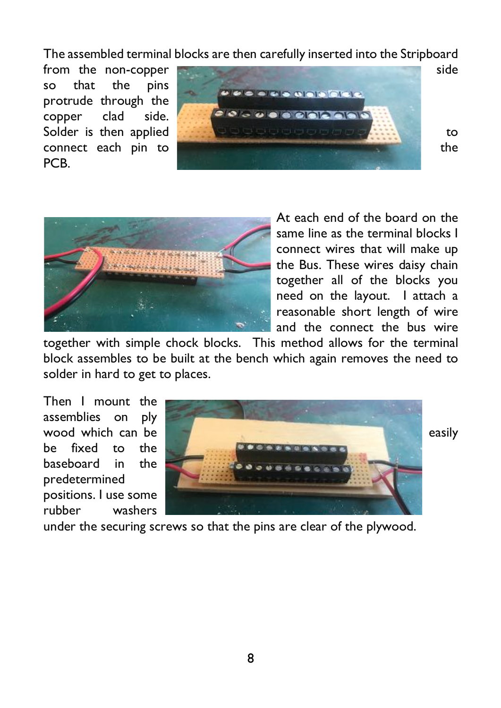The assembled terminal blocks are then carefully inserted into the Stripboard

so that the pins protrude through the copper clad side. PCB.





At each end of the board on the same line as the terminal blocks I connect wires that will make up the Bus. These wires daisy chain together all of the blocks you need on the layout. I attach a reasonable short length of wire and the connect the bus wire

together with simple chock blocks. This method allows for the terminal block assembles to be built at the bench which again removes the need to solder in hard to get to places.

Then I mount the assemblies on ply be fixed to the baseboard in the predetermined positions. I use some rubber washers



under the securing screws so that the pins are clear of the plywood.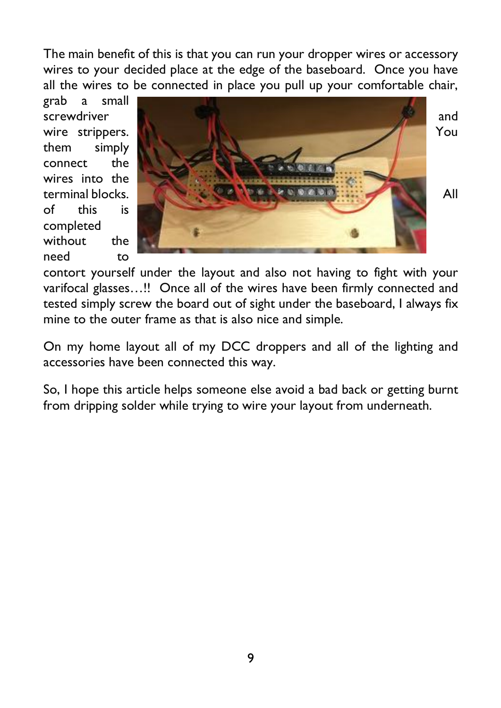The main benefit of this is that you can run your dropper wires or accessory wires to your decided place at the edge of the baseboard. Once you have all the wires to be connected in place you pull up your comfortable chair,

grab a small them simply connect the wires into the of this is completed without the need to



contort yourself under the layout and also not having to fight with your varifocal glasses…!! Once all of the wires have been firmly connected and tested simply screw the board out of sight under the baseboard, I always fix mine to the outer frame as that is also nice and simple.

On my home layout all of my DCC droppers and all of the lighting and accessories have been connected this way.

So, I hope this article helps someone else avoid a bad back or getting burnt from dripping solder while trying to wire your layout from underneath.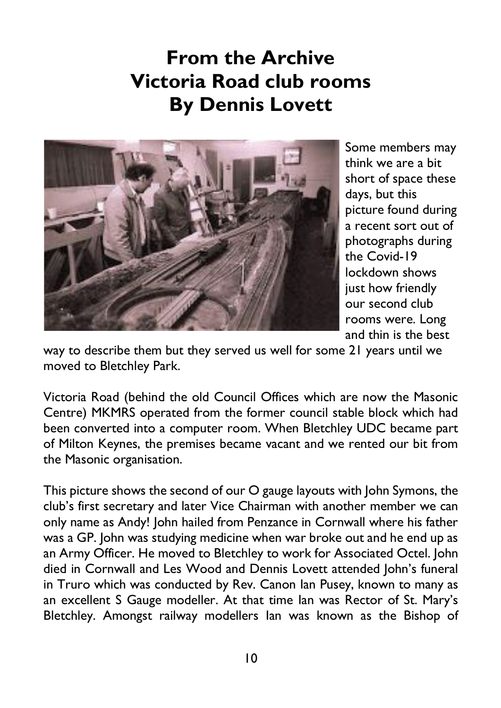# **From the Archive Victoria Road club rooms By Dennis Lovett**



Some members may think we are a bit short of space these days, but this picture found during a recent sort out of photographs during the Covid-19 lockdown shows just how friendly our second club rooms were. Long and thin is the best

way to describe them but they served us well for some 21 years until we moved to Bletchley Park.

Victoria Road (behind the old Council Offices which are now the Masonic Centre) MKMRS operated from the former council stable block which had been converted into a computer room. When Bletchley UDC became part of Milton Keynes, the premises became vacant and we rented our bit from the Masonic organisation.

This picture shows the second of our O gauge layouts with John Symons, the club's first secretary and later Vice Chairman with another member we can only name as Andy! John hailed from Penzance in Cornwall where his father was a GP. John was studying medicine when war broke out and he end up as an Army Officer. He moved to Bletchley to work for Associated Octel. John died in Cornwall and Les Wood and Dennis Lovett attended John's funeral in Truro which was conducted by Rev. Canon Ian Pusey, known to many as an excellent S Gauge modeller. At that time Ian was Rector of St. Mary's Bletchley. Amongst railway modellers Ian was known as the Bishop of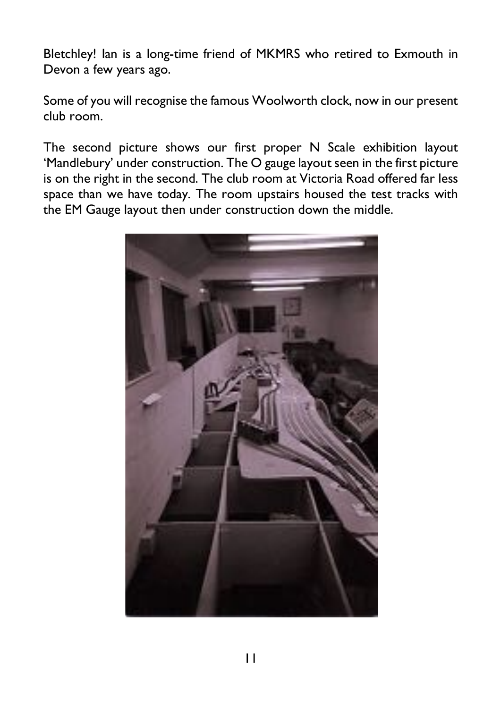Bletchley! Ian is a long-time friend of MKMRS who retired to Exmouth in Devon a few years ago.

Some of you will recognise the famous Woolworth clock, now in our present club room.

The second picture shows our first proper N Scale exhibition layout 'Mandlebury' under construction. The O gauge layout seen in the first picture is on the right in the second. The club room at Victoria Road offered far less space than we have today. The room upstairs housed the test tracks with the EM Gauge layout then under construction down the middle.

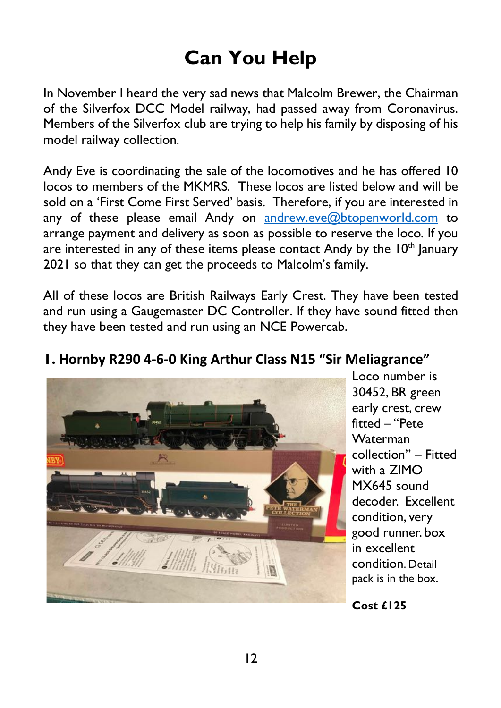# **Can You Help**

In November I heard the very sad news that Malcolm Brewer, the Chairman of the Silverfox DCC Model railway, had passed away from Coronavirus. Members of the Silverfox club are trying to help his family by disposing of his model railway collection.

Andy Eve is coordinating the sale of the locomotives and he has offered 10 locos to members of the MKMRS. These locos are listed below and will be sold on a 'First Come First Served' basis. Therefore, if you are interested in any of these please email Andy on andrew.eve@btopenworld.com to arrange payment and delivery as soon as possible to reserve the loco. If you are interested in any of these items please contact Andy by the  $10<sup>th</sup>$  lanuary 2021 so that they can get the proceeds to Malcolm's family.

All of these locos are British Railways Early Crest. They have been tested and run using a Gaugemaster DC Controller. If they have sound fitted then they have been tested and run using an NCE Powercab.



**1. Hornby R290 4-6-0 King Arthur Class N15 "Sir Meliagrance"**

Loco number is 30452, BR green early crest, crew fitted – "Pete Waterman collection" – Fitted with a ZIMO MX645 sound decoder. Excellent condition, very good runner. box in excellent condition. Detail pack is in the box.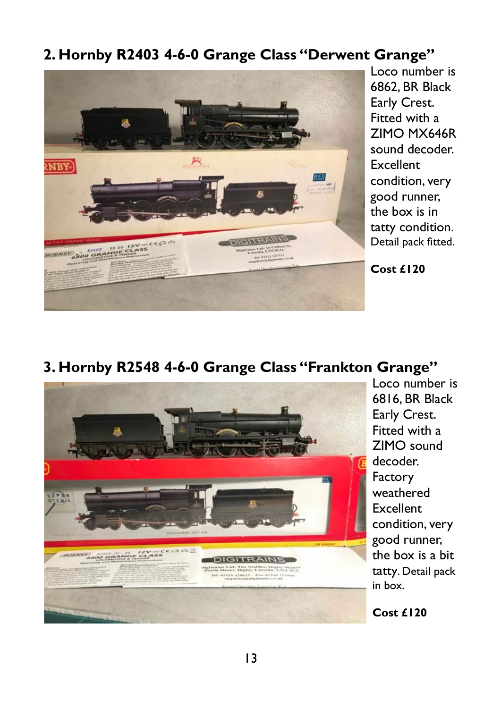#### **2. Hornby R2403 4-6-0 Grange Class "Derwent Grange"**



Loco number is 6862, BR Black Early Crest. Fitted with a ZIMO MX646R sound decoder. **Excellent** condition, very good runner, the box is in tatty condition. Detail pack fitted.

**Cost £120**

#### **3. Hornby R2548 4-6-0 Grange Class "Frankton Grange"**



Loco number is 6816, BR Black Early Crest. Fitted with a ZIMO sound decoder. Factory weathered Excellent condition, very good runner, the box is a bit tatty. Detail pack in box.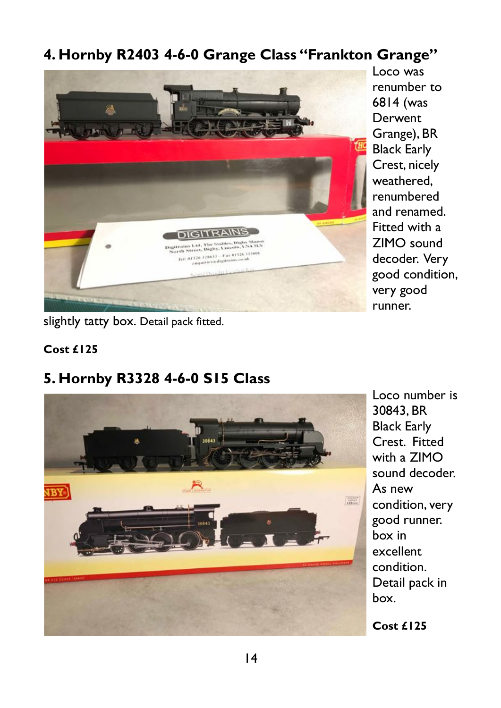## **4. Hornby R2403 4-6-0 Grange Class "Frankton Grange"**



Loco was renumber to 6814 (was **Derwent** Grange), BR Black Early Crest, nicely weathered, renumbered and renamed. Fitted with a ZIMO sound decoder. Very good condition, very good runner.

slightly tatty box. Detail pack fitted.

#### **Cost £125**

## **5. Hornby R3328 4-6-0 S15 Class**



Loco number is 30843, BR Black Early Crest. Fitted with a ZIMO sound decoder. As new condition, very good runner. box in excellent condition. Detail pack in box.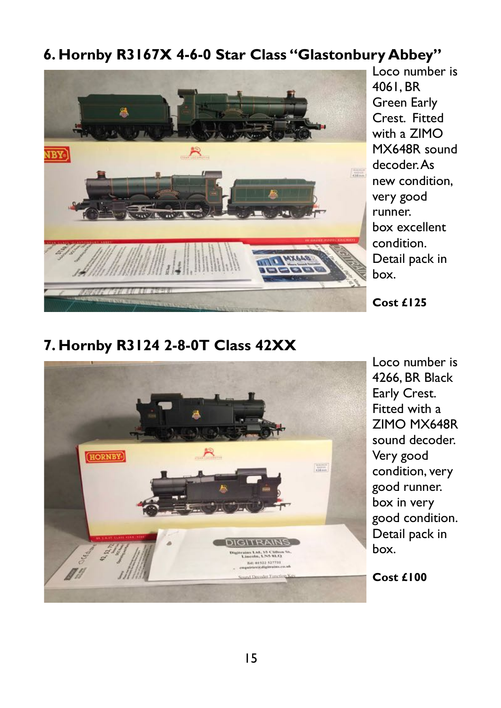## **6. Hornby R3167X 4-6-0 Star Class "Glastonbury Abbey"**



Loco number is 4061, BR Green Early Crest. Fitted with a ZIMO MX648R sound decoder. As new condition, very good runner. box excellent condition. Detail pack in box.

**Cost £125**

#### **7. Hornby R3124 2-8-0T Class 42XX**



Loco number is 4266, BR Black Early Crest. Fitted with a ZIMO MX648R sound decoder. Very good condition, very good runner. box in very good condition. Detail pack in box.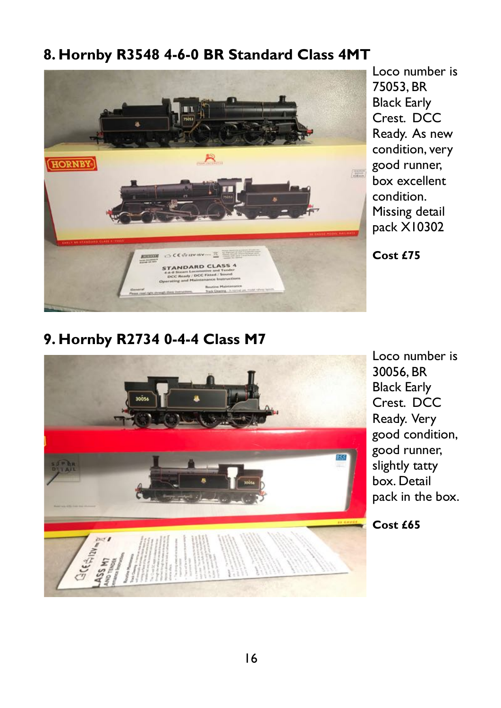## **8. Hornby R3548 4-6-0 BR Standard Class 4MT**



Loco number is 75053, BR Black Early Crest. DCC Ready. As new condition, very good runner, box excellent condition. Missing detail pack X10302

**Cost £75**

### **9. Hornby R2734 0-4-4 Class M7**



Loco number is 30056, BR Black Early Crest. DCC Ready. Very good condition, good runner, slightly tatty box. Detail pack in the box.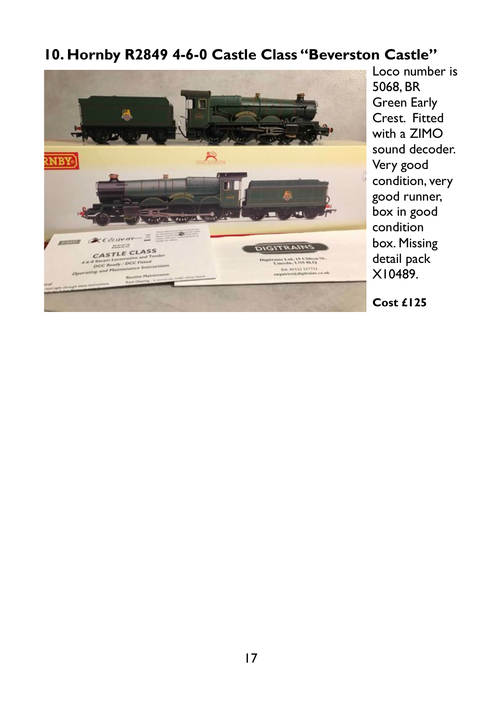#### **10. Hornby R2849 4-6-0 Castle Class "Beverston Castle"**



Loco number is 5068, BR Green Early Crest. Fitted with a ZIMO sound decoder. Very good condition, very good runner, box in good condition box. Missing detail pack X10489.